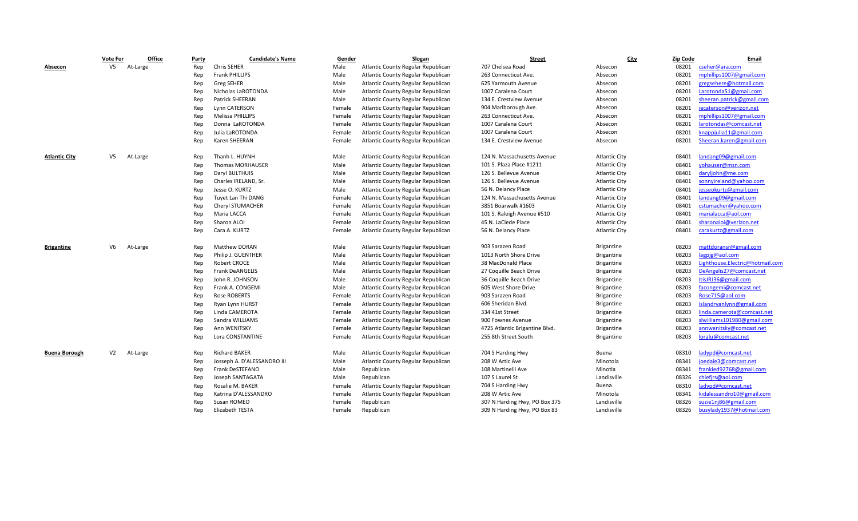|                      | <b>Vote For</b> | Office   | <b>Party</b> | <b>Candidate's Name</b>     | Gender | <b>Slogan</b>                      | <b>Street</b>                  | <b>City</b>          | Zip Code | Email                           |
|----------------------|-----------------|----------|--------------|-----------------------------|--------|------------------------------------|--------------------------------|----------------------|----------|---------------------------------|
| Absecon              | V <sub>5</sub>  | At-Large | Rep          | Chris SEHER                 | Male   | Atlantic County Regular Republican | 707 Chelsea Road               | Absecon              | 08201    | cseher@ara.com                  |
|                      |                 |          | Rep          | <b>Frank PHILLIPS</b>       | Male   | Atlantic County Regular Republican | 263 Connecticut Ave.           | Absecon              | 08201    | mphillips1007@gmail.com         |
|                      |                 |          | Rep          | <b>Greg SEHER</b>           | Male   | Atlantic County Regular Republican | 625 Yarmouth Avenue            | Absecon              | 08201    | gregsehere@hotmail.com          |
|                      |                 |          | Rep          | Nicholas LaROTONDA          | Male   | Atlantic County Regular Republican | 1007 Caralena Court            | Absecon              | 08201    | Larotonda51@gmail.com           |
|                      |                 |          | Rep          | Patrick SHEERAN             | Male   | Atlantic County Regular Republican | 134 E. Crestview Avenue        | Absecon              | 08201    | sheeran.patrick@gmail.com       |
|                      |                 |          | Rep          | Lynn CATERSON               | Female | Atlantic County Regular Republican | 904 Marlborough Ave.           | Absecon              | 08201    | jecaterson@verizon.net          |
|                      |                 |          | Rep          | Melissa PHILLIPS            | Female | Atlantic County Regular Republican | 263 Connecticut Ave.           | Absecon              | 08201    | mphillips1007@gmail.com         |
|                      |                 |          | Rep          | Donna LaROTONDA             | Female | Atlantic County Regular Republican | 1007 Caralena Court            | Absecon              | 08201    | larotondas@comcast.net          |
|                      |                 |          | Rep          | Julia LaROTONDA             | Female | Atlantic County Regular Republican | 1007 Caralena Court            | Absecon              | 08201    | knappjulia11@gmail.com          |
|                      |                 |          | Rep          | Karen SHEERAN               | Female | Atlantic County Regular Republican | 134 E. Crestview Avenue        | Absecon              | 08201    | Sheeran.karen@gmail.com         |
| <b>Atlantic City</b> | V5              | At-Large | Rep          | Thanh L. HUYNH              | Male   | Atlantic County Regular Republican | 124 N. Massachusetts Avenue    | <b>Atlantic City</b> | 08401    | landang09@gmail.com             |
|                      |                 |          | Rep          | <b>Thomas MORHAUSER</b>     | Male   | Atlantic County Regular Republican | 101 S. Plaza Place #1211       | <b>Atlantic City</b> | 08401    | yohauser@msn.com                |
|                      |                 |          | Rep          | Daryl BULTHUIS              | Male   | Atlantic County Regular Republican | 126 S. Bellevue Avenue         | <b>Atlantic City</b> | 08401    | daryljohn@me.com                |
|                      |                 |          | Rep          | Charles IRELAND, Sr.        | Male   | Atlantic County Regular Republican | 126 S. Bellevue Avenue         | <b>Atlantic City</b> | 08401    | sonnyireland@yahoo.com          |
|                      |                 |          | Rep          | Jesse O. KURTZ              | Male   | Atlantic County Regular Republican | 56 N. Delancy Place            | <b>Atlantic City</b> | 08401    | jesseokurtz@gmail.com           |
|                      |                 |          | Rep          | Tuyet Lan Thi DANG          | Female | Atlantic County Regular Republican | 124 N. Massachusetts Avenue    | <b>Atlantic City</b> | 08401    | landang09@gmail.com             |
|                      |                 |          | Rep          | Cheryl STUMACHER            | Female | Atlantic County Regular Republican | 3851 Boarwalk #1603            | <b>Atlantic City</b> | 08401    | cstumacher@yahoo.com            |
|                      |                 |          | Rep          | Maria LACCA                 | Female | Atlantic County Regular Republican | 101 S. Raleigh Avenue #510     | <b>Atlantic City</b> | 08401    | marialacca@aol.com              |
|                      |                 |          | Rep          | Sharon ALOI                 | Female | Atlantic County Regular Republican | 45 N. LaClede Place            | <b>Atlantic City</b> | 08401    | sharonaloi@verizon.net          |
|                      |                 |          | Rep          | Cara A. KURTZ               | Female | Atlantic County Regular Republican | 56 N. Delancy Place            | <b>Atlantic City</b> | 08401    | carakurtz@gmail.com             |
| <b>Brigantine</b>    | V6              | At-Large | Rep          | <b>Matthew DORAN</b>        | Male   | Atlantic County Regular Republican | 903 Sarazen Road               | <b>Brigantine</b>    | 08203    | mattdoransr@gmail.com           |
|                      |                 |          | Rep          | Philip J. GUENTHER          | Male   | Atlantic County Regular Republican | 1013 North Shore Drive         | <b>Brigantine</b>    | 08203    | lagpig@aol.com                  |
|                      |                 |          | Rep          | <b>Robert CROCE</b>         | Male   | Atlantic County Regular Republican | 38 MacDonald Place             | <b>Brigantine</b>    | 08203    | Lighthouse.Electric@hotmail.com |
|                      |                 |          | Rep          | Frank DeANGELIS             | Male   | Atlantic County Regular Republican | 27 Coquille Beach Drive        | <b>Brigantine</b>    | 08203    | DeAngelis27@comcast.net         |
|                      |                 |          | Rep          | John R. JOHNSON             | Male   | Atlantic County Regular Republican | 36 Coquille Beach Drive        | <b>Brigantine</b>    | 08203    | ItisJRJ36@gmail.com             |
|                      |                 |          | Rep          | Frank A. CONGEMI            | Male   | Atlantic County Regular Republican | 605 West Shore Drive           | <b>Brigantine</b>    | 08203    | facongemi@comcast.net           |
|                      |                 |          | Rep          | Rose ROBERTS                | Female | Atlantic County Regular Republican | 903 Sarazen Road               | <b>Brigantine</b>    | 08203    | Rose715@aol.com                 |
|                      |                 |          | Rep          | Ryan Lynn HURST             | Female | Atlantic County Regular Republican | 606 Sheridan Blvd.             | <b>Brigantine</b>    | 08203    | Islandryanlynn@gmail.com        |
|                      |                 |          | Rep          | Linda CAMEROTA              | Female | Atlantic County Regular Republican | 334 41st Street                | <b>Brigantine</b>    | 08203    | linda.camerota@comcast.net      |
|                      |                 |          | Rep          | Sandra WILLIAMS             | Female | Atlantic County Regular Republican | 900 Fownes Avenue              | <b>Brigantine</b>    | 08203    | slwilliams101980@gmail.com      |
|                      |                 |          | Rep          | Ann WENITSKY                | Female | Atlantic County Regular Republican | 4725 Atlantic Brigantine Blvd. | <b>Brigantine</b>    | 08203    | annwenitsky@comcast.net         |
|                      |                 |          | Rep          | Lora CONSTANTINE            | Female | Atlantic County Regular Republican | 255 8th Street South           | <b>Brigantine</b>    | 08203    | loralu@comcast.net              |
| <b>Buena Borough</b> | V <sub>2</sub>  | At-Large | Rep          | <b>Richard BAKER</b>        | Male   | Atlantic County Regular Republican | 704 S Harding Hwy              | Buena                | 08310    | ladypd@comcast.net              |
|                      |                 |          | Rep          | Josseph A. D'ALESSANDRO III | Male   | Atlantic County Regular Republican | 208 W Artic Ave                | Minotola             | 08341    | joedale3@comcast.net            |
|                      |                 |          | Rep          | Frank DeSTEFANO             | Male   | Republican                         | 108 Martinelli Ave             | Minotla              | 08341    | frankied92768@gmail.com         |
|                      |                 |          | Rep          | Joseph SANTAGATA            | Male   | Republican                         | 107 S Laurel St                | Landisville          | 08326    | chiefjrs@aol.com                |
|                      |                 |          | Rep          | Rosalie M. BAKER            | Female | Atlantic County Regular Republican | 704 S Harding Hwy              | Buena                | 08310    | ladypd@comcast.net              |
|                      |                 |          | Rep          | Katrina D'ALESSANDRO        | Female | Atlantic County Regular Republican | 208 W Artic Ave                | Minotola             | 08341    | kidalessandro10@gmail.com       |
|                      |                 |          | Rep          | Susan ROMEO                 | Female | Republican                         | 307 N Harding Hwy, PO Box 375  | Landisville          | 08326    | suzie1nj86@gmail.com            |
|                      |                 |          | Rep          | Elizabeth TESTA             | Female | Republican                         | 309 N Harding Hwy, PO Box 83   | Landisville          | 08326    | busylady1937@hotmail.com        |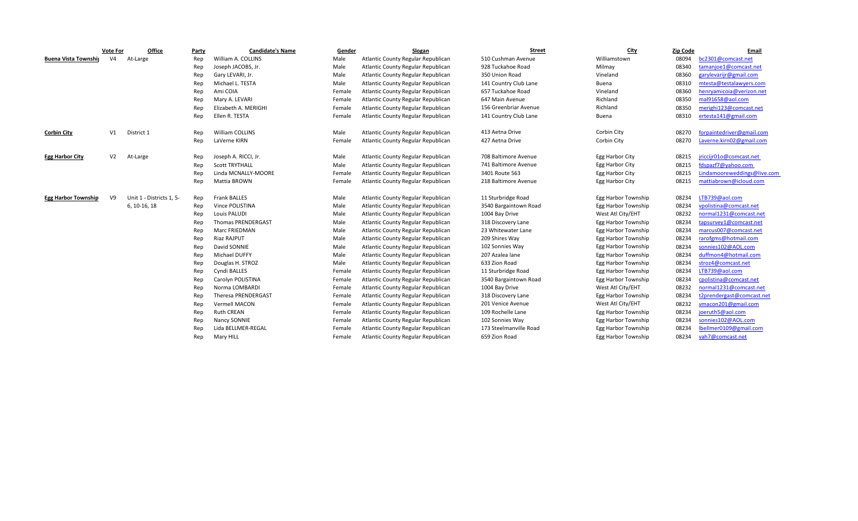|                            | <b>Vote For</b> | <b>Office</b>            | Party | <b>Candidate's Name</b>   | Gender | Slogan                             | <b>Street</b>          | <b>City</b>         | <b>Zip Code</b> | Email                       |
|----------------------------|-----------------|--------------------------|-------|---------------------------|--------|------------------------------------|------------------------|---------------------|-----------------|-----------------------------|
| Buena Vista Township       | V <sub>4</sub>  | At-Large                 | Rep   | William A. COLLINS        | Male   | Atlantic County Regular Republican | 510 Cushman Avenue     | Williamstown        | 08094           | bc2301@comcast.net          |
|                            |                 |                          | Rep   | Joseph JACOBS, Jr.        | Male   | Atlantic County Regular Republican | 928 Tuckahoe Road      | Milmay              | 08340           | tamanjoe1@comcast.net       |
|                            |                 |                          | Rep   | Gary LEVARI, Jr.          | Male   | Atlantic County Regular Republican | 350 Union Road         | Vineland            | 08360           | garylevarijr@gmail.com      |
|                            |                 |                          | Rep   | Michael L. TESTA          | Male   | Atlantic County Regular Republican | 141 Country Club Lane  | Buena               | 08310           | mtesta@testalawyers.com     |
|                            |                 |                          | Rep   | Ami COIA                  | Female | Atlantic County Regular Republican | 657 Tuckahoe Road      | Vineland            | 08360           | henryamicoia@verizon.net    |
|                            |                 |                          | Rep   | Mary A. LEVARI            | Female | Atlantic County Regular Republican | 647 Main Avenue        | Richland            | 08350           | mal91658@aol.com            |
|                            |                 |                          | Rep   | Elizabeth A. MERIGHI      | Female | Atlantic County Regular Republican | 156 Greenbriar Avenue  | Richland            | 08350           | merighi123@comcast.net      |
|                            |                 |                          | Rep   | Ellen R. TESTA            | Female | Atlantic County Regular Republican | 141 Country Club Lane  | Buena               | 08310           | ertesta141@gmail.com        |
| <b>Corbin City</b>         | V1              | District 1               | Rep   | <b>William COLLINS</b>    | Male   | Atlantic County Regular Republican | 413 Aetna Drive        | Corbin City         | 08270           | forpaintedriver@gmail.com   |
|                            |                 |                          | Rep   | LaVerne KIRN              | Female | Atlantic County Regular Republican | 427 Aetna Drive        | Corbin City         | 08270           | Laverne.kirn02@gmail.com    |
| <b>Egg Harbor City</b>     | V <sub>2</sub>  | At-Large                 | Rep   | Joseph A. RICCI, Jr.      | Male   | Atlantic County Regular Republican | 708 Baltimore Avenue   | Egg Harbor City     | 08215           | jriccijr01o@comcast.net     |
|                            |                 |                          | Rep   | <b>Scott TRYTHALL</b>     | Male   | Atlantic County Regular Republican | 741 Baltimore Avenue   | Egg Harbor City     | 08215           | fdspazf7@yahoo.com          |
|                            |                 |                          | Rep   | Linda MCNALLY-MOORE       | Female | Atlantic County Regular Republican | 3401 Route 563         | Egg Harbor City     | 08215           | Lindamooreweddings@live.com |
|                            |                 |                          | Rep   | Mattia BROWN              | Female | Atlantic County Regular Republican | 218 Baltimore Avenue   | Egg Harbor City     | 08215           | mattiabrown@icloud.com      |
| <b>Egg Harbor Township</b> | V <sub>9</sub>  | Unit 1 - Districts 1, 5- | Rep   | <b>Frank BALLES</b>       | Male   | Atlantic County Regular Republican | 11 Sturbridge Road     | Egg Harbor Township | 08234           | LTB739@aol.com              |
|                            |                 | 6, 10-16, 18             | Rep   | <b>Vince POLISTINA</b>    | Male   | Atlantic County Regular Republican | 3540 Bargaintown Road  | Egg Harbor Township | 08234           | vpolistina@comcast.net      |
|                            |                 |                          | Rep   | Louis PALUDI              | Male   | Atlantic County Regular Republican | 1004 Bay Drive         | West Atl City/EHT   | 08232           | normal1231@comcast.net      |
|                            |                 |                          | Rep   | <b>Thomas PRENDERGAST</b> | Male   | Atlantic County Regular Republican | 318 Discovery Lane     | Egg Harbor Township | 08234           | tapsurvey1@comcast.net      |
|                            |                 |                          | Rep   | <b>Marc FRIEDMAN</b>      | Male   | Atlantic County Regular Republican | 23 Whitewater Lane     | Egg Harbor Township | 08234           | marcus007@comcast.net       |
|                            |                 |                          | Rep   | <b>Riaz RAJPUT</b>        | Male   | Atlantic County Regular Republican | 209 Shires Way         | Egg Harbor Township | 08234           | rarofgms@hotmail.com        |
|                            |                 |                          | Rep   | David SONNIE              | Male   | Atlantic County Regular Republican | 102 Sonnies Way        | Egg Harbor Township | 08234           | sonnies102@AOL.com          |
|                            |                 |                          | Rep   | Michael DUFFY             | Male   | Atlantic County Regular Republican | 207 Azalea lane        | Egg Harbor Township | 08234           | duffmon4@hotmail.com        |
|                            |                 |                          | Rep   | Douglas H. STROZ          | Male   | Atlantic County Regular Republican | 633 Zion Road          | Egg Harbor Township | 08234           | stroz4@comcast.net          |
|                            |                 |                          | Rep   | Cyndi BALLES              | Female | Atlantic County Regular Republican | 11 Sturbridge Road     | Egg Harbor Township | 08234           | LTB739@aol.com              |
|                            |                 |                          | Rep   | Carolyn POLISTINA         | Female | Atlantic County Regular Republican | 3540 Bargaintown Road  | Egg Harbor Township | 08234           | cpolistina@comcast.net      |
|                            |                 |                          | Rep   | Norma LOMBARDI            | Female | Atlantic County Regular Republican | 1004 Bay Drive         | West Atl City/EHT   | 08232           | normal1231@comcast.net      |
|                            |                 |                          | Rep   | Theresa PRENDERGAST       | Female | Atlantic County Regular Republican | 318 Discovery Lane     | Egg Harbor Township | 08234           | t2prendergast@comcast.net   |
|                            |                 |                          | Rep   | Vermell MACON             | Female | Atlantic County Regular Republican | 201 Venice Avenue      | West Atl City/EHT   | 08232           | vmacon201@gmail.com         |
|                            |                 |                          | Rep   | <b>Ruth CREAN</b>         | Female | Atlantic County Regular Republican | 109 Rochelle Lane      | Egg Harbor Township | 08234           | joeruth5@aol.com            |
|                            |                 |                          | Rep   | Nancy SONNIE              | Female | Atlantic County Regular Republican | 102 Sonnies Way        | Egg Harbor Township | 08234           | sonnies102@AOL.com          |
|                            |                 |                          | Rep   | Lida BELLMER-REGAL        | Female | Atlantic County Regular Republican | 173 Steelmanville Road | Egg Harbor Township | 08234           | lbellmer0109@gmail.com      |
|                            |                 |                          | Rep   | Mary HILL                 | Female | Atlantic County Regular Republican | 659 Zion Road          | Egg Harbor Township | 08234           | vah7@comcast.net            |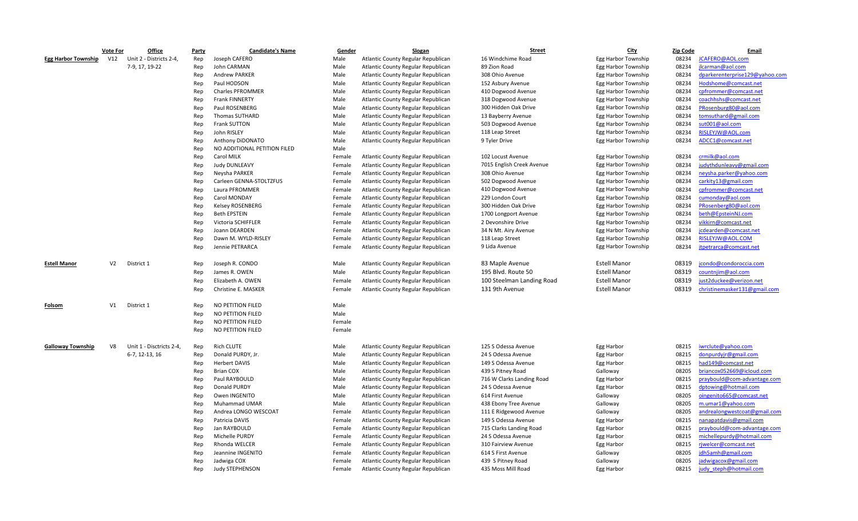|                            | <b>Vote For</b> | Office                   | Party | <b>Candidate's Name</b>      | Gender | Slogan                             | <b>Street</b>             | <u>City</u>         | <b>Zip Code</b> | Email                          |
|----------------------------|-----------------|--------------------------|-------|------------------------------|--------|------------------------------------|---------------------------|---------------------|-----------------|--------------------------------|
| <b>Egg Harbor Township</b> | V12             | Unit 2 - Districts 2-4,  | Rep   | Joseph CAFERO                | Male   | Atlantic County Regular Republican | 16 Windchime Road         | Egg Harbor Township | 08234           | JCAFERO@AOL.com                |
|                            |                 | 7-9, 17, 19-22           | Rep   | John CARMAN                  | Male   | Atlantic County Regular Republican | 89 Zion Road              | Egg Harbor Township | 08234           | ilcarman@aol.com               |
|                            |                 |                          | Rep   | <b>Andrew PARKER</b>         | Male   | Atlantic County Regular Republican | 308 Ohio Avenue           | Egg Harbor Township | 08234           | dparkerenterprise129@yahoo.com |
|                            |                 |                          | Rep   | Paul HODSON                  | Male   | Atlantic County Regular Republican | 152 Asbury Avenue         | Egg Harbor Township | 08234           | Hodshome@comcast.net           |
|                            |                 |                          | Rep   | Charles PFROMMER             | Male   | Atlantic County Regular Republican | 410 Dogwood Avenue        | Egg Harbor Township | 08234           | cpfrommer@comcast.net          |
|                            |                 |                          | Rep   | Frank FINNERTY               | Male   | Atlantic County Regular Republican | 318 Dogwood Avenue        | Egg Harbor Township | 08234           | coachhshs@comcast.net          |
|                            |                 |                          | Rep   | Paul ROSENBERG               | Male   | Atlantic County Regular Republican | 300 Hidden Oak Drive      | Egg Harbor Township | 08234           | PRosenburg80@aol.com           |
|                            |                 |                          | Rep   | Thomas SUTHARD               | Male   | Atlantic County Regular Republican | 13 Bayberry Avenue        | Egg Harbor Township | 08234           | tomsuthard@gmail.com           |
|                            |                 |                          | Rep   | Frank SUTTON                 | Male   | Atlantic County Regular Republican | 503 Dogwood Avenue        | Egg Harbor Township | 08234           | sut001@aol.com                 |
|                            |                 |                          | Rep   | John RISLEY                  | Male   | Atlantic County Regular Republican | 118 Leap Street           | Egg Harbor Township | 08234           | RISLEYJW@AOL.com               |
|                            |                 |                          | Rep   | Anthony DiDONATO             | Male   | Atlantic County Regular Republican | 9 Tyler Drive             | Egg Harbor Township | 08234           | ADCC1@comcast.net              |
|                            |                 |                          | Rep   | NO ADDITIONAL PETITION FILED | Male   |                                    |                           |                     |                 |                                |
|                            |                 |                          | Rep   | Carol MILK                   | Female | Atlantic County Regular Republican | 102 Locust Avenue         | Egg Harbor Township | 08234           | crmilk@aol.com                 |
|                            |                 |                          | Rep   | <b>Judy DUNLEAVY</b>         | Female | Atlantic County Regular Republican | 7015 English Creek Avenue | Egg Harbor Township | 08234           | judythdunleavy@gmail.com       |
|                            |                 |                          | Rep   | Neysha PARKER                | Female | Atlantic County Regular Republican | 308 Ohio Avenue           | Egg Harbor Township | 08234           | neysha.parker@yahoo.com        |
|                            |                 |                          | Rep   | Carleen GENNA-STOLTZFUS      | Female | Atlantic County Regular Republican | 502 Dogwood Avenue        | Egg Harbor Township | 08234           | carkity13@gmail.com            |
|                            |                 |                          | Rep   | Laura PFROMMER               | Female | Atlantic County Regular Republican | 410 Dogwood Avenue        | Egg Harbor Township | 08234           | cpfrommer@comcast.net          |
|                            |                 |                          | Rep   | Carol MONDAY                 | Female | Atlantic County Regular Republican | 229 London Court          | Egg Harbor Township | 08234           | cumonday@aol.com               |
|                            |                 |                          | Rep   | Kelsey ROSENBERG             | Female | Atlantic County Regular Republican | 300 Hidden Oak Drive      | Egg Harbor Township | 08234           | PRosenberg80@aol.com           |
|                            |                 |                          | Rep   | <b>Beth EPSTEIN</b>          | Female | Atlantic County Regular Republican | 1700 Longport Avenue      | Egg Harbor Township | 08234           | beth@EpsteinNJ.com             |
|                            |                 |                          | Rep   | Victoria SCHIFFLER           | Female | Atlantic County Regular Republican | 2 Devonshire Drive        | Egg Harbor Township | 08234           | vikkirn@comcast.net            |
|                            |                 |                          | Rep   | Joann DEARDEN                | Female | Atlantic County Regular Republican | 34 N Mt. Airy Avenue      | Egg Harbor Township | 08234           | jcdearden@comcast.net          |
|                            |                 |                          | Rep   | Dawn M. WYLD-RISLEY          | Female | Atlantic County Regular Republican | 118 Leap Street           | Egg Harbor Township | 08234           | RISLEYJW@AOL.COM               |
|                            |                 |                          | Rep   | Jennie PETRARCA              | Female | Atlantic County Regular Republican | 9 Lida Avenue             | Egg Harbor Township | 08234           | jtpetrarca@comcast.net         |
|                            |                 |                          |       |                              |        |                                    |                           |                     |                 |                                |
| <b>Estell Manor</b>        | V <sub>2</sub>  | District 1               | Rep   | Joseph R. CONDO              | Male   | Atlantic County Regular Republican | 83 Maple Avenue           | <b>Estell Manor</b> | 08319           | jcondo@condoroccia.com         |
|                            |                 |                          | Rep   | James R. OWEN                | Male   | Atlantic County Regular Republican | 195 Blvd. Route 50        | <b>Estell Manor</b> | 08319           | countnjim@aol.com              |
|                            |                 |                          | Rep   | Elizabeth A. OWEN            | Female | Atlantic County Regular Republican | 100 Steelman Landing Road | <b>Estell Manor</b> | 08319           | just2duckee@verizon.net        |
|                            |                 |                          | Rep   | Christine E. MASKER          | Female | Atlantic County Regular Republican | 131 9th Avenue            | <b>Estell Manor</b> | 08319           | christinemasker131@gmail.com   |
|                            |                 |                          |       |                              |        |                                    |                           |                     |                 |                                |
| Folsom                     | V1              | District 1               | Rep   | NO PETITION FILED            | Male   |                                    |                           |                     |                 |                                |
|                            |                 |                          | Rep   | NO PETITION FILED            | Male   |                                    |                           |                     |                 |                                |
|                            |                 |                          | Rep   | NO PETITION FILED            | Female |                                    |                           |                     |                 |                                |
|                            |                 |                          | Rep   | NO PETITION FILED            | Female |                                    |                           |                     |                 |                                |
|                            |                 |                          |       |                              |        |                                    |                           |                     |                 |                                |
| <b>Galloway Township</b>   | V8              | Unit 1 - Disctricts 2-4, | Rep   | <b>Rich CLUTE</b>            | Male   | Atlantic County Regular Republican | 125 S Odessa Avenue       | Egg Harbor          | 08215           | iwrclute@yahoo.com             |
|                            |                 | 6-7, 12-13, 16           | Rep   | Donald PURDY, Jr.            | Male   | Atlantic County Regular Republican | 24 S Odessa Avenue        | Egg Harbor          | 08215           | donpurdyjr@gmail.com           |
|                            |                 |                          | Rep   | <b>Herbert DAVIS</b>         | Male   | Atlantic County Regular Republican | 149 S Odessa Avenue       | Egg Harbor          | 08215           | had149@comcast.net             |
|                            |                 |                          | Rep   | <b>Brian COX</b>             | Male   | Atlantic County Regular Republican | 439 S Pitney Road         | Galloway            | 08205           | briancox052669@icloud.com      |
|                            |                 |                          | Rep   | Paul RAYBOULD                | Male   | Atlantic County Regular Republican | 716 W Clarks Landing Road | Egg Harbor          | 08215           | praybould@com-advantage.com    |
|                            |                 |                          | Rep   | Donald PURDY                 | Male   | Atlantic County Regular Republican | 24 S Odessa Avenue        | Egg Harbor          | 08215           | dptowing@hotmail.com           |
|                            |                 |                          | Rep   | Owen INGENITO                | Male   | Atlantic County Regular Republican | 614 First Avenue          | Galloway            | 08205           | oingenito665@comcast.net       |
|                            |                 |                          | Rep   | Muhammad UMAR                | Male   | Atlantic County Regular Republican | 438 Ebony Tree Avenue     | Galloway            | 08205           | m.umar1@yahoo.com              |
|                            |                 |                          | Rep   | Andrea LONGO WESCOAT         | Female | Atlantic County Regular Republican | 111 E Ridgewood Avenue    | Galloway            | 08205           | andrealongwestcoat@gmail.com   |
|                            |                 |                          | Rep   | Patricia DAVIS               | Female | Atlantic County Regular Republican | 149 S Odessa Avenue       | Egg Harbor          | 08215           | nanapatdavis@gmail.com         |
|                            |                 |                          | Rep   | Jan RAYBOULD                 | Female | Atlantic County Regular Republican | 715 Clarks Landing Road   | Egg Harbor          | 08215           | praybould@com-advantage.com    |
|                            |                 |                          | Rep   | Michelle PURDY               | Female | Atlantic County Regular Republican | 24 S Odessa Avenue        | Egg Harbor          | 08215           | michellepurdy@hotmail.com      |
|                            |                 |                          | Rep   | Rhonda WELCER                | Female | Atlantic County Regular Republican | 310 Fairview Avenue       | Egg Harbor          | 08215           | rjwelcer@comcast.net           |
|                            |                 |                          | Rep   | Jeannine INGENITO            | Female | Atlantic County Regular Republican | 614 S First Avenue        | Galloway            | 08205           | idh5amh@gmail.com              |
|                            |                 |                          | Rep   | Jadwiga COX                  | Female | Atlantic County Regular Republican | 439 S Pitney Road         | Galloway            | 08205           | jadwigacox@gmail.com           |
|                            |                 |                          | Rep   | Judy STEPHENSON              | Female | Atlantic County Regular Republican | 435 Moss Mill Road        | Egg Harbor          | 08215           | judy steph@hotmail.com         |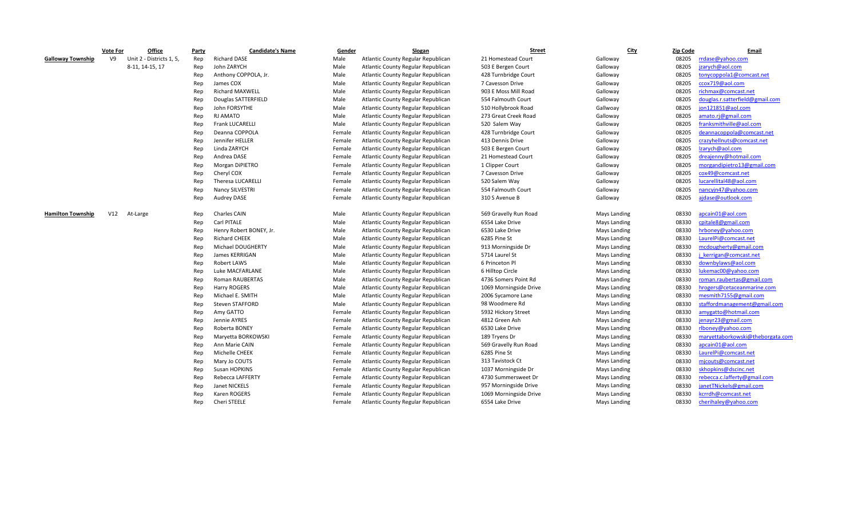|                          | <b>Vote For</b> | Office                   | Party | <b>Candidate's Name</b> | Gender | Slogan                             | <b>Street</b>          | <b>City</b>  | <b>Zip Code</b> | Email                            |
|--------------------------|-----------------|--------------------------|-------|-------------------------|--------|------------------------------------|------------------------|--------------|-----------------|----------------------------------|
| <b>Galloway Township</b> | V <sub>9</sub>  | Unit 2 - Districts 1, 5, | Rep   | <b>Richard DASE</b>     | Male   | Atlantic County Regular Republican | 21 Homestead Court     | Galloway     | 08205           | rrdase@yahoo.com                 |
|                          |                 | 8-11, 14-15, 17          | Rep   | John ZARYCH             | Male   | Atlantic County Regular Republican | 503 E Bergen Court     | Galloway     | 08205           | jzarych@aol.com                  |
|                          |                 |                          | Rep   | Anthony COPPOLA, Jr.    | Male   | Atlantic County Regular Republican | 428 Turnbridge Court   | Galloway     | 08205           | tonycoppola1@comcast.net         |
|                          |                 |                          | Rep   | James COX               | Male   | Atlantic County Regular Republican | 7 Cavesson Drive       | Galloway     | 08205           | ccox719@aol.com                  |
|                          |                 |                          | Rep   | Richard MAXWELL         | Male   | Atlantic County Regular Republican | 903 E Moss Mill Road   | Galloway     | 08205           | richmax@comcast.net              |
|                          |                 |                          | Rep   | Douglas SATTERFIELD     | Male   | Atlantic County Regular Republican | 554 Falmouth Court     | Galloway     | 08205           | douglas.r.satterfield@gmail.com  |
|                          |                 |                          | Rep   | John FORSYTHE           | Male   | Atlantic County Regular Republican | 510 Hollybrook Road    | Gallwoay     | 08205           | jon121851@aol.com                |
|                          |                 |                          | Rep   | RJ AMATO                | Male   | Atlantic County Regular Republican | 273 Great Creek Road   | Galloway     | 08205           | amato.rj@gmail.com               |
|                          |                 |                          | Rep   | <b>Frank LUCARELLI</b>  | Male   | Atlantic County Regular Republican | 520 Salem Way          | Galloway     | 08205           | franksmithville@aol.com          |
|                          |                 |                          | Rep   | Deanna COPPOLA          | Female | Atlantic County Regular Republican | 428 Turnbridge Court   | Galloway     | 08205           | deannacoppola@comcast.net        |
|                          |                 |                          | Rep   | Jennifer HELLER         | Female | Atlantic County Regular Republican | 413 Dennis Drive       | Galloway     | 08205           | crazyhellnuts@comcast.net        |
|                          |                 |                          | Rep   | Linda ZARYCH            | Female | Atlantic County Regular Republican | 503 E Bergen Court     | Galloway     | 08205           | Izarych@aol.com                  |
|                          |                 |                          | Rep   | Andrea DASE             | Female | Atlantic County Regular Republican | 21 Homestead Court     | Galloway     | 08205           | dreajenny@hotmail.com            |
|                          |                 |                          | Rep   | Morgan DiPIETRO         | Female | Atlantic County Regular Republican | 1 Clipper Court        | Galloway     | 08205           | morgandipietro13@gmail.com       |
|                          |                 |                          | Rep   | Cheryl COX              | Female | Atlantic County Regular Republican | 7 Cavesson Drive       | Galloway     | 08205           | cox49@comcast.net                |
|                          |                 |                          | Rep   | Theresa LUCARELLI       | Female | Atlantic County Regular Republican | 520 Salem Way          | Galloway     | 08205           | lucarellital48@aol.com           |
|                          |                 |                          | Rep   | Nancy SILVESTRI         | Female | Atlantic County Regular Republican | 554 Falmouth Court     | Galloway     | 08205           | nancyjn47@yahoo.com              |
|                          |                 |                          | Rep   | <b>Audrey DASE</b>      | Female | Atlantic County Regular Republican | 310 S Avenue B         | Galloway     | 08205           | ajdase@outlook.com               |
|                          |                 |                          |       |                         |        |                                    |                        |              |                 |                                  |
| <b>Hamilton Township</b> | V12             | At-Large                 | Rep   | <b>Charles CAIN</b>     | Male   | Atlantic County Regular Republican | 569 Gravelly Run Road  | Mays Landing | 08330           | apcain01@aol.com                 |
|                          |                 |                          | Rep   | Carl PITALE             | Male   | Atlantic County Regular Republican | 6554 Lake Drive        | Mays Landing | 08330           | cpitale8@gmail.com               |
|                          |                 |                          | Rep   | Henry Robert BONEY, Jr. | Male   | Atlantic County Regular Republican | 6530 Lake Drive        | Mays Landing | 08330           | hrboney@yahoo.com                |
|                          |                 |                          | Rep   | <b>Richard CHEEK</b>    | Male   | Atlantic County Regular Republican | 6285 Pine St           | Mays Landing | 08330           | LaurelPi@comcast.net             |
|                          |                 |                          | Rep   | Michael DOUGHERTY       | Male   | Atlantic County Regular Republican | 913 Morningside Dr     | Mays Landing | 08330           | mcdougherty@gmail.com            |
|                          |                 |                          | Rep   | James KERRIGAN          | Male   | Atlantic County Regular Republican | 5714 Laurel St         | Mays Landing | 08330           | kerrigan@comcast.net             |
|                          |                 |                          | Rep   | <b>Robert LAWS</b>      | Male   | Atlantic County Regular Republican | 6 Princeton Pl         | Mays Landing | 08330           | downbylaws@aol.com               |
|                          |                 |                          | Rep   | Luke MACFARLANE         | Male   | Atlantic County Regular Republican | 6 Hilltop Circle       | Mays Landing | 08330           | lukemac00@yahoo.com              |
|                          |                 |                          | Rep   | Roman RAUBERTAS         | Male   | Atlantic County Regular Republican | 4736 Somers Point Rd   | Mays Landing | 08330           | roman.raubertas@gmail.com        |
|                          |                 |                          | Rep   | Harry ROGERS            | Male   | Atlantic County Regular Republican | 1069 Morningside Drive | Mays Landing | 08330           | hrogers@cetaceanmarine.com       |
|                          |                 |                          | Rep   | Michael E. SMITH        | Male   | Atlantic County Regular Republican | 2006 Sycamore Lane     | Mays Landing | 08330           | mesmith7155@gmail.com            |
|                          |                 |                          | Rep   | Steven STAFFORD         | Male   | Atlantic County Regular Republican | 98 Woodmere Rd         | Mays Landing | 08330           | staffordmanagement@gmail.com     |
|                          |                 |                          | Rep   | Amy GATTO               | Female | Atlantic County Regular Republican | 5932 Hickory Street    | Mays Landing | 08330           | amvgatto@hotmail.com             |
|                          |                 |                          | Rep   | Jennie AYRES            | Female | Atlantic County Regular Republican | 4812 Green Ash         | Mays Landing | 08330           | jenayr23@gmail.com               |
|                          |                 |                          | Rep   | Roberta BONEY           | Female | Atlantic County Regular Republican | 6530 Lake Drive        | Mays Landing | 08330           | rlboney@yahoo.com                |
|                          |                 |                          | Rep   | Maryetta BORKOWSKI      | Female | Atlantic County Regular Republican | 189 Tryens Dr          | Mays Landing | 08330           | marvettaborkowski@theborgata.com |
|                          |                 |                          | Rep   | Ann Marie CAIN          | Female | Atlantic County Regular Republican | 569 Gravelly Run Road  | Mays Landing | 08330           | apcain01@aol.com                 |
|                          |                 |                          | Rep   | Michelle CHEEK          | Female | Atlantic County Regular Republican | 6285 Pine St           | Mays Landing | 08330           | LaurelPi@comcast.net             |
|                          |                 |                          | Rep   | Mary Jo COUTS           | Female | Atlantic County Regular Republican | 313 Tavistock Ct       | Mays Landing | 08330           | mjcouts@comcast.net              |
|                          |                 |                          | Rep   | Susan HOPKINS           | Female | Atlantic County Regular Republican | 1037 Morningside Dr    | Mays Landing | 08330           | skhopkins@dscinc.net             |
|                          |                 |                          | Rep   | Rebecca LAFFERTY        | Female | Atlantic County Regular Republican | 4730 Summersweet Dr    | Mays Landing | 08330           | rebecca.c.lafferty@gmail.com     |
|                          |                 |                          | Rep   | Janet NICKELS           | Female | Atlantic County Regular Republican | 957 Morningside Drive  | Mays Landing | 08330           | ianet TNickels@gmail.com         |
|                          |                 |                          | Rep   | Karen ROGERS            | Female | Atlantic County Regular Republican | 1069 Morningside Drive | Mays Landing | 08330           | kcrrdh@comcast.net               |
|                          |                 |                          | Rep   | Cheri STEELE            | Female | Atlantic County Regular Republican | 6554 Lake Drive        | Mays Landing | 08330           | cherihaley@yahoo.com             |
|                          |                 |                          |       |                         |        |                                    |                        |              |                 |                                  |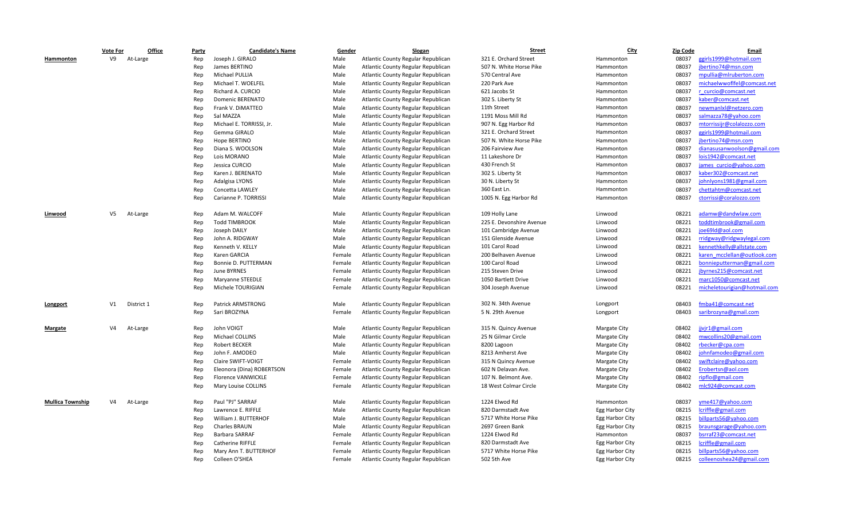|                         | <b>Vote For</b> | Office     | Party | <b>Candidate's Name</b>   | Gender | Slogan                             | <b>Street</b>            | <b>City</b>         | <b>Zip Code</b> | Email                        |
|-------------------------|-----------------|------------|-------|---------------------------|--------|------------------------------------|--------------------------|---------------------|-----------------|------------------------------|
| Hammonton               | V9              | At-Large   | Rep   | Joseph J. GIRALO          | Male   | Atlantic County Regular Republican | 321 E. Orchard Street    | Hammonton           | 08037           | ggirls1999@hotmail.com       |
|                         |                 |            | Rep   | James BERTINO             | Male   | Atlantic County Regular Republican | 507 N. White Horse Pike  | Hammonton           | 08037           | jbertino74@msn.com           |
|                         |                 |            | Rep   | Michael PULLIA            | Male   | Atlantic County Regular Republican | 570 Central Ave          | Hammonton           | 08037           | mpullia@mlruberton.com       |
|                         |                 |            | Rep   | Michael T. WOELFEL        | Male   | Atlantic County Regular Republican | 220 Park Ave             | Hammonton           | 08037           | michaelwwoflfel@comcast.net  |
|                         |                 |            | Rep   | Richard A. CURCIO         | Male   | Atlantic County Regular Republican | 621 Jacobs St            | Hammonton           | 08037           | r curcio@comcast.net         |
|                         |                 |            | Rep   | Domenic BERENATO          | Male   | Atlantic County Regular Republican | 302 S. Liberty St        | Hammonton           | 08037           | kaber@comcast.net            |
|                         |                 |            | Rep   | Frank V. DiMATTEO         | Male   | Atlantic County Regular Republican | 11th Street              | Hammonton           | 08037           | newmanlxl@netzero.com        |
|                         |                 |            | Rep   | Sal MAZZA                 | Male   | Atlantic County Regular Republican | 1191 Moss Mill Rd        | Hammonton           | 08037           | salmazza78@yahoo.com         |
|                         |                 |            | Rep   | Michael E. TORRISSI. Jr.  | Male   | Atlantic County Regular Republican | 907 N. Egg Harbor Rd     | Hammonton           | 08037           | mtorrissijr@colalozzo.com    |
|                         |                 |            | Rep   | Gemma GIRALO              | Male   | Atlantic County Regular Republican | 321 E. Orchard Street    | Hammonton           | 08037           | ggirls1999@hotmail.com       |
|                         |                 |            | Rep   | Hope BERTINO              | Male   | Atlantic County Regular Republican | 507 N. White Horse Pike  | Hammonton           | 08037           | jbertino74@msn.com           |
|                         |                 |            | Rep   | Diana S. WOOLSON          | Male   | Atlantic County Regular Republican | 206 Fairview Ave         | Hammonton           | 08037           | dianasusanwoolson@gmail.com  |
|                         |                 |            | Rep   | Lois MORANO               | Male   | Atlantic County Regular Republican | 11 Lakeshore Dr          | Hammonton           | 08037           | lois1942@comcast.net         |
|                         |                 |            | Rep   | Jessica CURCIO            | Male   | Atlantic County Regular Republican | 430 French St            | Hammonton           | 08037           | james curcio@vahoo.com       |
|                         |                 |            | Rep   | Karen J. BERENATO         | Male   | Atlantic County Regular Republican | 302 S. Liberty St        | Hammonton           | 08037           | kaber302@comcast.net         |
|                         |                 |            | Rep   | Adalgisa LYONS            | Male   | Atlantic County Regular Republican | 30 N. Liberty St         | Hammonton           | 08037           | johnlyons1981@gmail.com      |
|                         |                 |            | Rep   | Concetta LAWLEY           | Male   | Atlantic County Regular Republican | 360 East Ln.             | Hammonton           | 08037           | chettahtm@comcast.net        |
|                         |                 |            | Rep   | Carianne P. TORRISSI      | Male   | Atlantic County Regular Republican | 1005 N. Egg Harbor Rd    | Hammonton           | 08037           | ctorrissi@coralozzo.com      |
|                         |                 |            |       |                           |        |                                    |                          |                     |                 |                              |
| Linwood                 | V5              | At-Large   | Rep   | Adam M. WALCOFF           | Male   | Atlantic County Regular Republican | 109 Holly Lane           | Linwood             | 08221           | adamw@dandwlaw.com           |
|                         |                 |            | Rep   | <b>Todd TIMBROOK</b>      | Male   | Atlantic County Regular Republican | 225 E. Devonshire Avenue | Linwood             | 08221           | toddtimbrook@gmail.com       |
|                         |                 |            | Rep   | Joseph DAILY              | Male   | Atlantic County Regular Republican | 101 Cambridge Avenue     | Linwood             | 08221           | joe69ld@aol.com              |
|                         |                 |            | Rep   | John A. RIDGWAY           | Male   | Atlantic County Regular Republican | 151 Glenside Avenue      | Linwood             | 08221           | rridgway@ridgwaylegal.com    |
|                         |                 |            | Rep   | Kenneth V. KELLY          | Male   | Atlantic County Regular Republican | 101 Carol Road           | Linwood             | 08221           | kennethkelly@allstate.com    |
|                         |                 |            | Rep   | Karen GARCIA              | Female | Atlantic County Regular Republican | 200 Belhaven Avenue      | Linwood             | 08221           | karen mcclellan@outlook.com  |
|                         |                 |            | Rep   | Bonnie D. PUTTERMAN       | Female | Atlantic County Regular Republican | 100 Carol Road           | Linwood             | 08221           | bonnieputterman@gmail.com    |
|                         |                 |            | Rep   | June BYRNES               | Female | Atlantic County Regular Republican | 215 Steven Drive         | Linwood             | 08221           | jbyrnes215@comcast.net       |
|                         |                 |            | Rep   | Maryanne STEEDLE          | Female | Atlantic County Regular Republican | 1050 Bartlett Drive      | Linwood             | 08221           | marc1050@comcast.net         |
|                         |                 |            | Rep   | Michele TOURIGIAN         | Female | Atlantic County Regular Republican | 304 Joseph Avenue        | Linwood             | 08221           | micheletourigian@hotmail.com |
|                         |                 |            |       |                           |        |                                    |                          |                     |                 |                              |
| Longport                | V1              | District 1 | Rep   | Patrick ARMSTRONG         | Male   | Atlantic County Regular Republican | 302 N. 34th Avenue       | Longport            | 08403           | fmba41@comcast.net           |
|                         |                 |            | Rep   | Sari BROZYNA              | Female | Atlantic County Regular Republican | 5 N. 29th Avenue         | Longport            | 08403           | saribrozyna@gmail.com        |
|                         |                 |            |       |                           |        |                                    |                          |                     |                 |                              |
| <b>Margate</b>          | V <sub>4</sub>  | At-Large   | Rep   | John VOIGT                | Male   | Atlantic County Regular Republican | 315 N. Quincy Avenue     | <b>Margate City</b> | 08402           | jivjr1@gmail.com             |
|                         |                 |            | Rep   | <b>Michael COLLINS</b>    | Male   | Atlantic County Regular Republican | 25 N Gilmar Circle       | <b>Margate City</b> | 08402           | mwcollins20@gmail.com        |
|                         |                 |            | Rep   | Robert BECKER             | Male   | Atlantic County Regular Republican | 8200 Lagoon              | <b>Margate City</b> | 08402           | rbecker@cpa.com              |
|                         |                 |            | Rep   | John F. AMODEO            | Male   | Atlantic County Regular Republican | 8213 Amherst Ave         | <b>Margate City</b> | 08402           | johnfamodeo@gmail.com        |
|                         |                 |            | Rep   | Claire SWIFT-VOIGT        | Female | Atlantic County Regular Republican | 315 N Quincy Avenue      | <b>Margate City</b> | 08402           | swiftclaire@yahoo.com        |
|                         |                 |            | Rep   | Eleonora (Dina) ROBERTSON | Female | Atlantic County Regular Republican | 602 N Delavan Ave.       | <b>Margate City</b> | 08402           | Erobertsn@aol.com            |
|                         |                 |            | Rep   | <b>Florence VANWICKLE</b> | Female | Atlantic County Regular Republican | 107 N. Belmont Ave.      | <b>Margate City</b> | 08402           | ripflo@gmail.com             |
|                         |                 |            | Rep   | Mary Louise COLLINS       | Female | Atlantic County Regular Republican | 18 West Colmar Circle    | Margate City        | 08402           | mlc924@comcast.com           |
| <b>Mullica Township</b> | V4              | At-Large   | Rep   | Paul "PJ" SARRAF          | Male   | Atlantic County Regular Republican | 1224 Elwod Rd            | Hammonton           | 08037           | yme417@yahoo.com             |
|                         |                 |            | Rep   | Lawrence E. RIFFLE        | Male   | Atlantic County Regular Republican | 820 Darmstadt Ave        | Egg Harbor City     | 08215           | lcriffle@gmail.com           |
|                         |                 |            | Rep   | William J. BUTTERHOF      | Male   | Atlantic County Regular Republican | 5717 White Horse Pike    | Egg Harbor City     | 08215           | billparts56@yahoo.com        |
|                         |                 |            | Rep   | <b>Charles BRAUN</b>      | Male   | Atlantic County Regular Republican | 2697 Green Bank          | Egg Harbor City     | 08215           | braunsgarage@yahoo.com       |
|                         |                 |            | Rep   | Barbara SARRAF            | Female | Atlantic County Regular Republican | 1224 Elwod Rd            | Hammonton           | 08037           | bsrraf23@comcast.net         |
|                         |                 |            | Rep   | <b>Catherine RIFFLE</b>   | Female | Atlantic County Regular Republican | 820 Darmstadt Ave        | Egg Harbor City     | 08215           | lcriffle@gmail.com           |
|                         |                 |            | Rep   | Mary Ann T. BUTTERHOF     | Female | Atlantic County Regular Republican | 5717 White Horse Pike    | Egg Harbor City     | 08215           | billparts56@vahoo.com        |
|                         |                 |            | Rep   | Colleen O'SHEA            | Female | Atlantic County Regular Republican | 502 5th Ave              | Egg Harbor City     | 08215           | colleenoshea24@gmail.com     |
|                         |                 |            |       |                           |        |                                    |                          |                     |                 |                              |